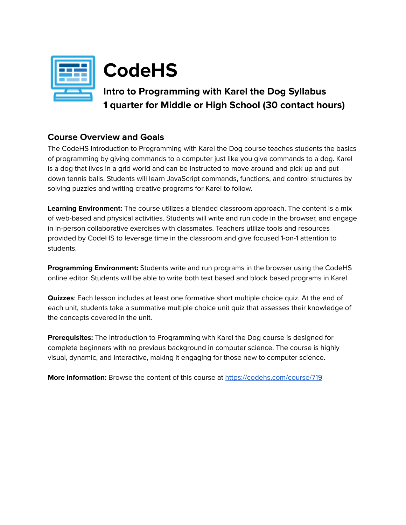

# **CodeHS**

# **Intro to Programming with Karel the Dog Syllabus 1 quarter for Middle or High School (30 contact hours)**

### **Course Overview and Goals**

The CodeHS Introduction to Programming with Karel the Dog course teaches students the basics of programming by giving commands to a computer just like you give commands to a dog. Karel is a dog that lives in a grid world and can be instructed to move around and pick up and put down tennis balls. Students will learn JavaScript commands, functions, and control structures by solving puzzles and writing creative programs for Karel to follow.

**Learning Environment:** The course utilizes a blended classroom approach. The content is a mix of web-based and physical activities. Students will write and run code in the browser, and engage in in-person collaborative exercises with classmates. Teachers utilize tools and resources provided by CodeHS to leverage time in the classroom and give focused 1-on-1 attention to students.

**Programming Environment:** Students write and run programs in the browser using the CodeHS online editor. Students will be able to write both text based and block based programs in Karel.

**Quizzes**: Each lesson includes at least one formative short multiple choice quiz. At the end of each unit, students take a summative multiple choice unit quiz that assesses their knowledge of the concepts covered in the unit.

**Prerequisites:** The Introduction to Programming with Karel the Dog course is designed for complete beginners with no previous background in computer science. The course is highly visual, dynamic, and interactive, making it engaging for those new to computer science.

**More information:** Browse the content of this course at <https://codehs.com/course/719>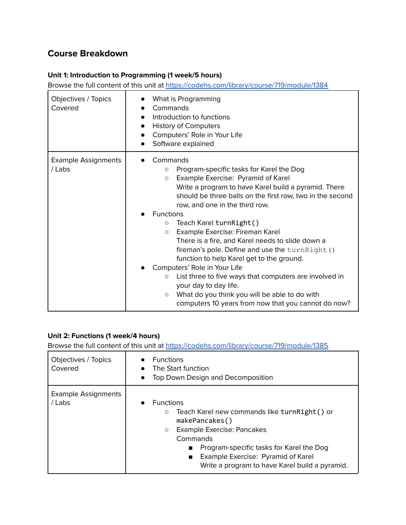## **Course Breakdown**

#### **Unit 1: Introduction to Programming (1 week/5 hours)**

Browse the full content of this unit at <https://codehs.com/library/course/719/module/1384>

| Objectives / Topics<br>Covered       | What is Programming<br>Commands<br>Introduction to functions<br><b>History of Computers</b><br>Computers' Role in Your Life<br>$\bullet$<br>Software explained                                                                                                                                                                                                                                                                                                                                                                                                                                                                                                                                                                                                                                               |
|--------------------------------------|--------------------------------------------------------------------------------------------------------------------------------------------------------------------------------------------------------------------------------------------------------------------------------------------------------------------------------------------------------------------------------------------------------------------------------------------------------------------------------------------------------------------------------------------------------------------------------------------------------------------------------------------------------------------------------------------------------------------------------------------------------------------------------------------------------------|
| <b>Example Assignments</b><br>/ Labs | Commands<br>Program-specific tasks for Karel the Dog<br>$\circ$<br>Example Exercise: Pyramid of Karel<br>$\circ$<br>Write a program to have Karel build a pyramid. There<br>should be three balls on the first row, two in the second<br>row, and one in the third row.<br><b>Functions</b><br>Teach Karel turnRight()<br>$\circlearrowright$<br>Example Exercise: Fireman Karel<br>$\circ$<br>There is a fire, and Karel needs to slide down a<br>fireman's pole. Define and use the turnRight ()<br>function to help Karel get to the ground.<br>Computers' Role in Your Life<br>List three to five ways that computers are involved in<br>$\circ$<br>your day to day life.<br>What do you think you will be able to do with<br>$\circlearrowright$<br>computers 10 years from now that you cannot do now? |

#### **Unit 2: Functions (1 week/4 hours)**

| Objectives / Topics<br>Covered       | <b>Functions</b><br>The Start function<br>Top Down Design and Decomposition<br>$\bullet$                                                                                                                                                                                                                 |
|--------------------------------------|----------------------------------------------------------------------------------------------------------------------------------------------------------------------------------------------------------------------------------------------------------------------------------------------------------|
| <b>Example Assignments</b><br>/ Labs | <b>Functions</b><br>$\bullet$<br>Teach Karel new commands like turnRight() or<br>$\circ$<br>makePancakes()<br>Example Exercise: Pancakes<br>$\circ$<br>Commands<br>Program-specific tasks for Karel the Dog<br>■<br>Example Exercise: Pyramid of Karel<br>Write a program to have Karel build a pyramid. |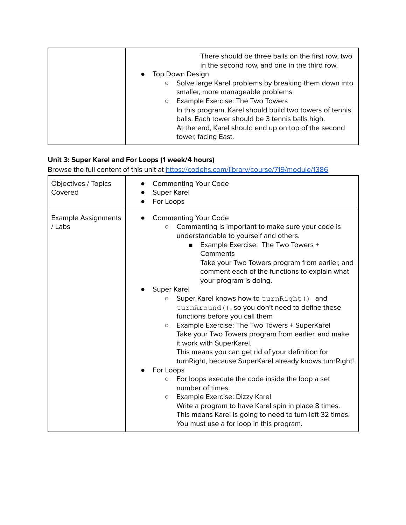| There should be three balls on the first row, two<br>in the second row, and one in the third row.<br>Top Down Design<br>$\bullet$<br>Solve large Karel problems by breaking them down into<br>$\circ$<br>smaller, more manageable problems<br>Example Exercise: The Two Towers<br>$\circ$<br>In this program, Karel should build two towers of tennis<br>balls. Each tower should be 3 tennis balls high. |
|-----------------------------------------------------------------------------------------------------------------------------------------------------------------------------------------------------------------------------------------------------------------------------------------------------------------------------------------------------------------------------------------------------------|
| At the end, Karel should end up on top of the second<br>tower, facing East.                                                                                                                                                                                                                                                                                                                               |

#### **Unit 3: Super Karel and For Loops (1 week/4 hours)**

| Objectives / Topics<br>Covered       | <b>Commenting Your Code</b><br>Super Karel<br>For Loops                                                                                                                                                                                                                                                                                                                                                                                                                                                                                                                                                                                                                                                                                                                                                                                                                                                                                                                                                                                        |
|--------------------------------------|------------------------------------------------------------------------------------------------------------------------------------------------------------------------------------------------------------------------------------------------------------------------------------------------------------------------------------------------------------------------------------------------------------------------------------------------------------------------------------------------------------------------------------------------------------------------------------------------------------------------------------------------------------------------------------------------------------------------------------------------------------------------------------------------------------------------------------------------------------------------------------------------------------------------------------------------------------------------------------------------------------------------------------------------|
| <b>Example Assignments</b><br>/ Labs | <b>Commenting Your Code</b><br>Commenting is important to make sure your code is<br>$\circlearrowright$<br>understandable to yourself and others.<br>Example Exercise: The Two Towers +<br>$\blacksquare$<br>Comments<br>Take your Two Towers program from earlier, and<br>comment each of the functions to explain what<br>your program is doing.<br>Super Karel<br>Super Karel knows how to turn Right () and<br>$\circ$<br>turnAround (), so you don't need to define these<br>functions before you call them<br>Example Exercise: The Two Towers + SuperKarel<br>$\circ$<br>Take your Two Towers program from earlier, and make<br>it work with SuperKarel.<br>This means you can get rid of your definition for<br>turnRight, because SuperKarel already knows turnRight!<br>For Loops<br>For loops execute the code inside the loop a set<br>$\circ$<br>number of times.<br>Example Exercise: Dizzy Karel<br>$\circ$<br>Write a program to have Karel spin in place 8 times.<br>This means Karel is going to need to turn left 32 times. |
|                                      | You must use a for loop in this program.                                                                                                                                                                                                                                                                                                                                                                                                                                                                                                                                                                                                                                                                                                                                                                                                                                                                                                                                                                                                       |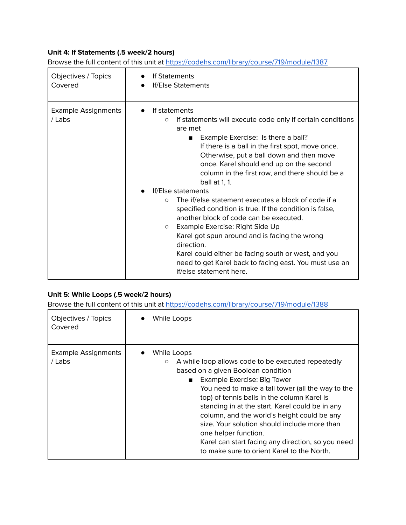#### **Unit 4: If Statements (.5 week/2 hours)**

| Objectives / Topics                  | If Statements                                                                                                                                                                                                                                                                                                                                                                                                                                                                                                                                                                                                                                                                                                                                                                                                         |
|--------------------------------------|-----------------------------------------------------------------------------------------------------------------------------------------------------------------------------------------------------------------------------------------------------------------------------------------------------------------------------------------------------------------------------------------------------------------------------------------------------------------------------------------------------------------------------------------------------------------------------------------------------------------------------------------------------------------------------------------------------------------------------------------------------------------------------------------------------------------------|
| Covered                              | <b>If/Else Statements</b>                                                                                                                                                                                                                                                                                                                                                                                                                                                                                                                                                                                                                                                                                                                                                                                             |
| <b>Example Assignments</b><br>/ Labs | If statements<br>If statements will execute code only if certain conditions<br>$\circ$<br>are met<br>Example Exercise: Is there a ball?<br>If there is a ball in the first spot, move once.<br>Otherwise, put a ball down and then move<br>once. Karel should end up on the second<br>column in the first row, and there should be a<br>ball at 1, 1.<br><b>If/Else statements</b><br>The if/else statement executes a block of code if a<br>$\bigcirc$<br>specified condition is true. If the condition is false,<br>another block of code can be executed.<br>Example Exercise: Right Side Up<br>$\circ$<br>Karel got spun around and is facing the wrong<br>direction.<br>Karel could either be facing south or west, and you<br>need to get Karel back to facing east. You must use an<br>if/else statement here. |

Browse the full content of this unit at <https://codehs.com/library/course/719/module/1387>

#### **Unit 5: While Loops (.5 week/2 hours)**

| Objectives / Topics<br>Covered       | While Loops                                                                                                                                                                                                                                                                                                                                                                                                                                                                                                                                                      |
|--------------------------------------|------------------------------------------------------------------------------------------------------------------------------------------------------------------------------------------------------------------------------------------------------------------------------------------------------------------------------------------------------------------------------------------------------------------------------------------------------------------------------------------------------------------------------------------------------------------|
| <b>Example Assignments</b><br>/ Labs | While Loops<br>A while loop allows code to be executed repeatedly<br>$\circlearrowright$<br>based on a given Boolean condition<br>Example Exercise: Big Tower<br>$\blacksquare$<br>You need to make a tall tower (all the way to the<br>top) of tennis balls in the column Karel is<br>standing in at the start. Karel could be in any<br>column, and the world's height could be any<br>size. Your solution should include more than<br>one helper function.<br>Karel can start facing any direction, so you need<br>to make sure to orient Karel to the North. |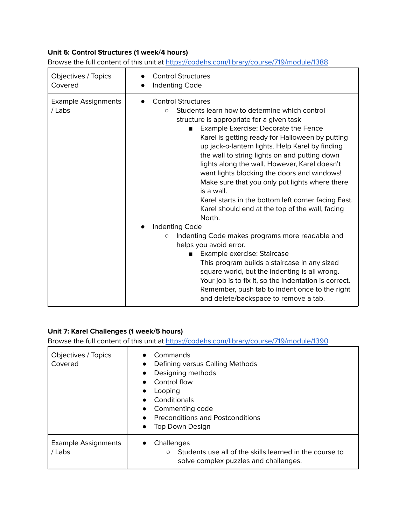#### **Unit 6: Control Structures (1 week/4 hours)**

| Objectives / Topics<br>Covered       | <b>Control Structures</b><br>Indenting Code                                                                                                                                                                                                                                                                                                                                                                                                                                                                                                                                                                                             |
|--------------------------------------|-----------------------------------------------------------------------------------------------------------------------------------------------------------------------------------------------------------------------------------------------------------------------------------------------------------------------------------------------------------------------------------------------------------------------------------------------------------------------------------------------------------------------------------------------------------------------------------------------------------------------------------------|
| <b>Example Assignments</b><br>/ Labs | <b>Control Structures</b><br>Students learn how to determine which control<br>$\circ$<br>structure is appropriate for a given task<br>Example Exercise: Decorate the Fence<br>$\blacksquare$<br>Karel is getting ready for Halloween by putting<br>up jack-o-lantern lights. Help Karel by finding<br>the wall to string lights on and putting down<br>lights along the wall. However, Karel doesn't<br>want lights blocking the doors and windows!<br>Make sure that you only put lights where there<br>is a wall.<br>Karel starts in the bottom left corner facing East.<br>Karel should end at the top of the wall, facing<br>North. |
|                                      | Indenting Code<br>Indenting Code makes programs more readable and<br>$\circ$<br>helps you avoid error.<br>Example exercise: Staircase<br>$\blacksquare$<br>This program builds a staircase in any sized<br>square world, but the indenting is all wrong.<br>Your job is to fix it, so the indentation is correct.<br>Remember, push tab to indent once to the right<br>and delete/backspace to remove a tab.                                                                                                                                                                                                                            |

Browse the full content of this unit at <https://codehs.com/library/course/719/module/1388>

#### **Unit 7: Karel Challenges (1 week/5 hours)**

| Objectives / Topics<br>Covered       | Commands<br>Defining versus Calling Methods<br>$\bullet$<br>Designing methods<br>Control flow<br>Looping<br>Conditionals<br>Commenting code<br><b>Preconditions and Postconditions</b><br>Top Down Design |
|--------------------------------------|-----------------------------------------------------------------------------------------------------------------------------------------------------------------------------------------------------------|
| <b>Example Assignments</b><br>/ Labs | Challenges<br>Students use all of the skills learned in the course to<br>$\circ$<br>solve complex puzzles and challenges.                                                                                 |